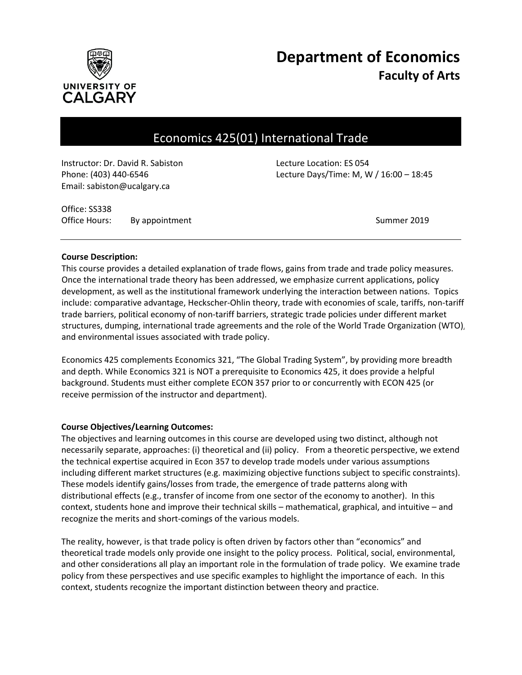

# **Department of Economics Faculty of Arts**

# Economics 425(01) International Trade

Instructor: Dr. David R. Sabiston Lecture Location: ES 054 Email: sabiston@ucalgary.ca

Phone: (403) 440-6546 Lecture Days/Time: M, W / 16:00 – 18:45

Office: SS338 Office Hours: By appointment Communication of the Summer 2019

#### **Course Description:**

This course provides a detailed explanation of trade flows, gains from trade and trade policy measures. Once the international trade theory has been addressed, we emphasize current applications, policy development, as well as the institutional framework underlying the interaction between nations. Topics include: comparative advantage, Heckscher-Ohlin theory, trade with economies of scale, tariffs, non-tariff trade barriers, political economy of non-tariff barriers, strategic trade policies under different market structures, dumping, international trade agreements and the role of the World Trade Organization (WTO), and environmental issues associated with trade policy.

Economics 425 complements Economics 321, "The Global Trading System", by providing more breadth and depth. While Economics 321 is NOT a prerequisite to Economics 425, it does provide a helpful background. Students must either complete ECON 357 prior to or concurrently with ECON 425 (or receive permission of the instructor and department).

# **Course Objectives/Learning Outcomes:**

The objectives and learning outcomes in this course are developed using two distinct, although not necessarily separate, approaches: (i) theoretical and (ii) policy. From a theoretic perspective, we extend the technical expertise acquired in Econ 357 to develop trade models under various assumptions including different market structures (e.g. maximizing objective functions subject to specific constraints). These models identify gains/losses from trade, the emergence of trade patterns along with distributional effects (e.g., transfer of income from one sector of the economy to another). In this context, students hone and improve their technical skills – mathematical, graphical, and intuitive – and recognize the merits and short-comings of the various models.

The reality, however, is that trade policy is often driven by factors other than "economics" and theoretical trade models only provide one insight to the policy process. Political, social, environmental, and other considerations all play an important role in the formulation of trade policy. We examine trade policy from these perspectives and use specific examples to highlight the importance of each. In this context, students recognize the important distinction between theory and practice.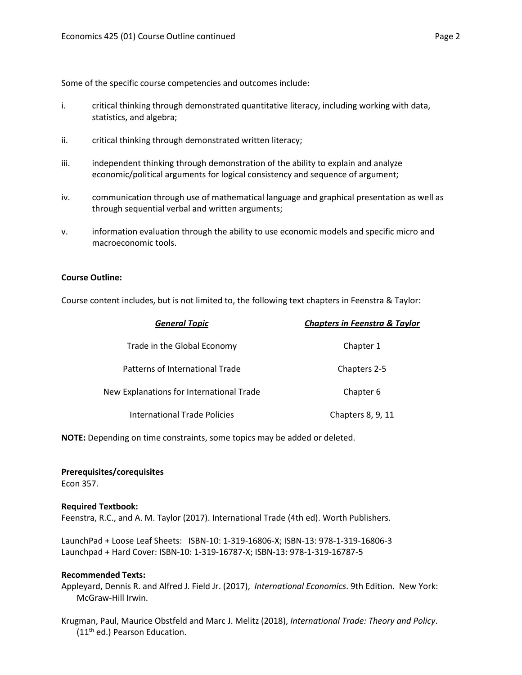Some of the specific course competencies and outcomes include:

- i. critical thinking through demonstrated quantitative literacy, including working with data, statistics, and algebra;
- ii. critical thinking through demonstrated written literacy;
- iii. independent thinking through demonstration of the ability to explain and analyze economic/political arguments for logical consistency and sequence of argument;
- iv. communication through use of mathematical language and graphical presentation as well as through sequential verbal and written arguments;
- v. information evaluation through the ability to use economic models and specific micro and macroeconomic tools.

### **Course Outline:**

Course content includes, but is not limited to, the following text chapters in Feenstra & Taylor:

| <b>General Topic</b>                     | <b>Chapters in Feenstra &amp; Taylor</b> |
|------------------------------------------|------------------------------------------|
| Trade in the Global Economy              | Chapter 1                                |
| Patterns of International Trade          | Chapters 2-5                             |
| New Explanations for International Trade | Chapter 6                                |
| <b>International Trade Policies</b>      | Chapters 8, 9, 11                        |

**NOTE:** Depending on time constraints, some topics may be added or deleted.

#### **Prerequisites/corequisites**

Econ 357.

#### **Required Textbook:**

Feenstra, R.C., and A. M. Taylor (2017). International Trade (4th ed). Worth Publishers.

LaunchPad + Loose Leaf Sheets: ISBN-10: 1-319-16806-X; ISBN-13: 978-1-319-16806-3 Launchpad + Hard Cover: ISBN-10: 1-319-16787-X; ISBN-13: 978-1-319-16787-5

#### **Recommended Texts:**

Appleyard, Dennis R. and Alfred J. Field Jr. (2017), *International Economics*. 9th Edition. New York: McGraw-Hill Irwin.

Krugman, Paul, Maurice Obstfeld and Marc J. Melitz (2018), *International Trade: Theory and Policy*. (11<sup>th</sup> ed.) Pearson Education.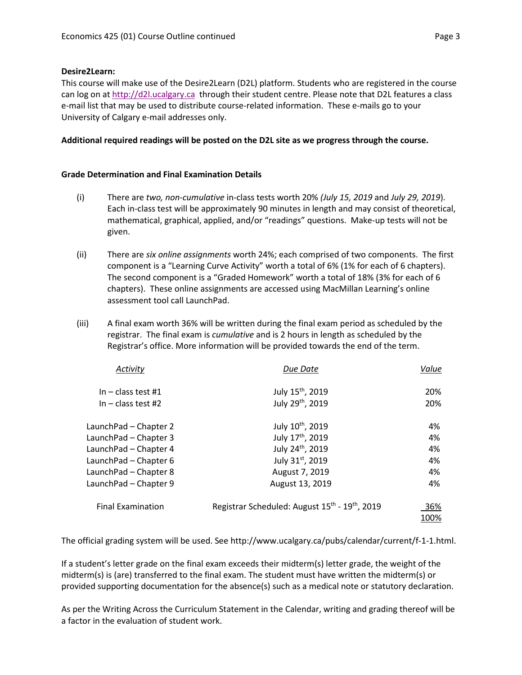# **Desire2Learn:**

This course will make use of the Desire2Learn (D2L) platform. Students who are registered in the course can log on a[t http://d2l.ucalgary.ca](http://d2l.ucalgary.ca/) through their student centre. Please note that D2L features a class e-mail list that may be used to distribute course-related information. These e-mails go to your University of Calgary e-mail addresses only.

# **Additional required readings will be posted on the D2L site as we progress through the course.**

# **Grade Determination and Final Examination Details**

- (i) There are *two, non-cumulative* in-class tests worth 20% *(July 15, 2019* and *July 29, 2019*). Each in-class test will be approximately 90 minutes in length and may consist of theoretical, mathematical, graphical, applied, and/or "readings" questions. Make-up tests will not be given.
- (ii) There are *six online assignments* worth 24%; each comprised of two components. The first component is a "Learning Curve Activity" worth a total of 6% (1% for each of 6 chapters). The second component is a "Graded Homework" worth a total of 18% (3% for each of 6 chapters). These online assignments are accessed using MacMillan Learning's online assessment tool call LaunchPad.
- (iii) A final exam worth 36% will be written during the final exam period as scheduled by the registrar. The final exam is *cumulative* and is 2 hours in length as scheduled by the Registrar's office. More information will be provided towards the end of the term.

| Activitv                 | Due Date                                                               | Value |
|--------------------------|------------------------------------------------------------------------|-------|
| In $-$ class test #1     | July 15 <sup>th</sup> , 2019                                           | 20%   |
| In $-$ class test #2     | July 29 <sup>th</sup> , 2019                                           | 20%   |
| LaunchPad - Chapter 2    | July 10 <sup>th</sup> , 2019                                           | 4%    |
| LaunchPad - Chapter 3    | July 17th, 2019                                                        | 4%    |
| LaunchPad - Chapter 4    | July 24th, 2019                                                        | 4%    |
| LaunchPad - Chapter 6    | July 31st, 2019                                                        | 4%    |
| LaunchPad - Chapter 8    | August 7, 2019                                                         | 4%    |
| LaunchPad - Chapter 9    | August 13, 2019                                                        | 4%    |
| <b>Final Examination</b> | Registrar Scheduled: August 15 <sup>th</sup> - 19 <sup>th</sup> , 2019 | 36%   |
|                          |                                                                        | 100%  |

The official grading system will be used. See http://www.ucalgary.ca/pubs/calendar/current/f-1-1.html.

If a student's letter grade on the final exam exceeds their midterm(s) letter grade, the weight of the midterm(s) is (are) transferred to the final exam. The student must have written the midterm(s) or provided supporting documentation for the absence(s) such as a medical note or statutory declaration.

As per the Writing Across the Curriculum Statement in the Calendar, writing and grading thereof will be a factor in the evaluation of student work.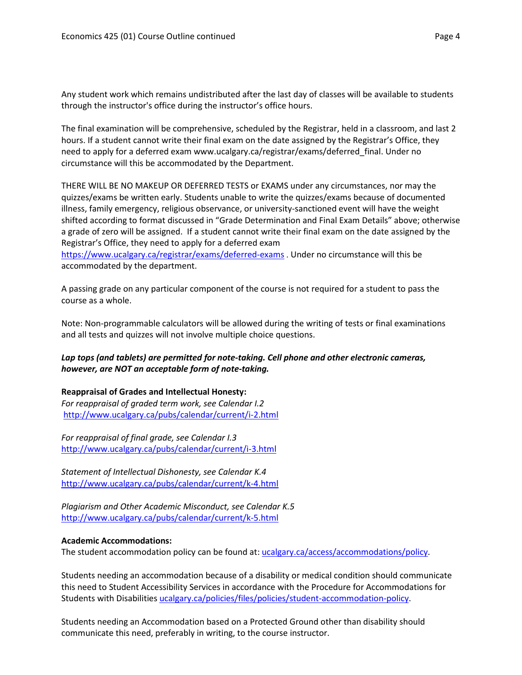Any student work which remains undistributed after the last day of classes will be available to students through the instructor's office during the instructor's office hours.

The final examination will be comprehensive, scheduled by the Registrar, held in a classroom, and last 2 hours. If a student cannot write their final exam on the date assigned by the Registrar's Office, they need to apply for a deferred exam www.ucalgary.ca/registrar/exams/deferred\_final. Under no circumstance will this be accommodated by the Department.

THERE WILL BE NO MAKEUP OR DEFERRED TESTS or EXAMS under any circumstances, nor may the quizzes/exams be written early. Students unable to write the quizzes/exams because of documented illness, family emergency, religious observance, or university-sanctioned event will have the weight shifted according to format discussed in "Grade Determination and Final Exam Details" above; otherwise a grade of zero will be assigned. If a student cannot write their final exam on the date assigned by the Registrar's Office, they need to apply for a deferred exam

<https://www.ucalgary.ca/registrar/exams/deferred-exams> . Under no circumstance will this be accommodated by the department.

A passing grade on any particular component of the course is not required for a student to pass the course as a whole.

Note: Non-programmable calculators will be allowed during the writing of tests or final examinations and all tests and quizzes will not involve multiple choice questions.

# *Lap tops (and tablets) are permitted for note-taking. Cell phone and other electronic cameras, however, are NOT an acceptable form of note-taking.*

# **Reappraisal of Grades and Intellectual Honesty:**

*For reappraisal of graded term work, see Calendar I.2* <http://www.ucalgary.ca/pubs/calendar/current/i-2.html>

*For reappraisal of final grade, see Calendar I.3* <http://www.ucalgary.ca/pubs/calendar/current/i-3.html>

*Statement of Intellectual Dishonesty, see Calendar K.4* <http://www.ucalgary.ca/pubs/calendar/current/k-4.html>

*Plagiarism and Other Academic Misconduct, see Calendar K.5* <http://www.ucalgary.ca/pubs/calendar/current/k-5.html>

# **Academic Accommodations:**

The student accommodation policy can be found at: [ucalgary.ca/access/accommodations/policy.](http://www.ucalgary.ca/access/accommodations/policy)

Students needing an accommodation because of a disability or medical condition should communicate this need to Student Accessibility Services in accordance with the Procedure for Accommodations for Students with Disabilities [ucalgary.ca/policies/files/policies/student-accommodation-policy.](http://www.ucalgary.ca/policies/files/policies/student-accommodation-policy.pdf)

Students needing an Accommodation based on a Protected Ground other than disability should communicate this need, preferably in writing, to the course instructor.